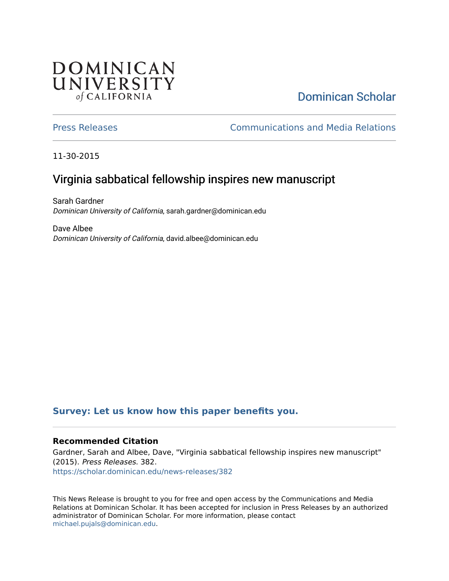## **DOMINICAN** UNIVERSITY of CALIFORNIA

# [Dominican Scholar](https://scholar.dominican.edu/)

[Press Releases](https://scholar.dominican.edu/news-releases) [Communications and Media Relations](https://scholar.dominican.edu/communications-media) 

11-30-2015

## Virginia sabbatical fellowship inspires new manuscript

Sarah Gardner Dominican University of California, sarah.gardner@dominican.edu

Dave Albee Dominican University of California, david.albee@dominican.edu

#### **[Survey: Let us know how this paper benefits you.](https://dominican.libwizard.com/dominican-scholar-feedback)**

#### **Recommended Citation**

Gardner, Sarah and Albee, Dave, "Virginia sabbatical fellowship inspires new manuscript" (2015). Press Releases. 382. [https://scholar.dominican.edu/news-releases/382](https://scholar.dominican.edu/news-releases/382?utm_source=scholar.dominican.edu%2Fnews-releases%2F382&utm_medium=PDF&utm_campaign=PDFCoverPages)

This News Release is brought to you for free and open access by the Communications and Media Relations at Dominican Scholar. It has been accepted for inclusion in Press Releases by an authorized administrator of Dominican Scholar. For more information, please contact [michael.pujals@dominican.edu.](mailto:michael.pujals@dominican.edu)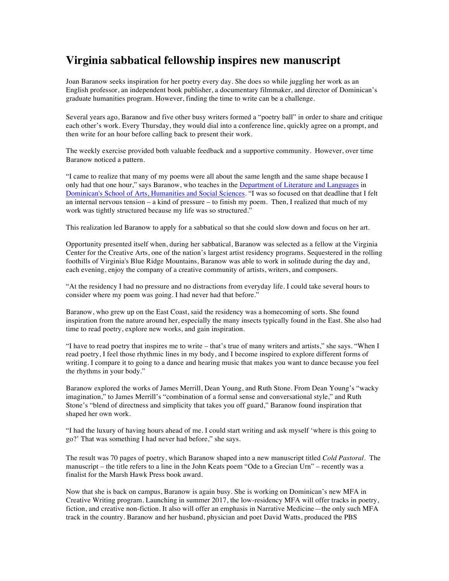### **Virginia sabbatical fellowship inspires new manuscript**

Joan Baranow seeks inspiration for her poetry every day. She does so while juggling her work as an English professor, an independent book publisher, a documentary filmmaker, and director of Dominican's graduate humanities program. However, finding the time to write can be a challenge.

Several years ago, Baranow and five other busy writers formed a "poetry ball" in order to share and critique each other's work. Every Thursday, they would dial into a conference line, quickly agree on a prompt, and then write for an hour before calling back to present their work.

The weekly exercise provided both valuable feedback and a supportive community. However, over time Baranow noticed a pattern.

"I came to realize that many of my poems were all about the same length and the same shape because I only had that one hour," says Baranow, who teaches in the Department of Literature and Languages in Dominican's School of Arts, Humanities and Social Sciences. "I was so focused on that deadline that I felt an internal nervous tension – a kind of pressure – to finish my poem. Then, I realized that much of my work was tightly structured because my life was so structured."

This realization led Baranow to apply for a sabbatical so that she could slow down and focus on her art.

Opportunity presented itself when, during her sabbatical, Baranow was selected as a fellow at the Virginia Center for the Creative Arts, one of the nation's largest artist residency programs. Sequestered in the rolling foothills of Virginia's Blue Ridge Mountains, Baranow was able to work in solitude during the day and, each evening, enjoy the company of a creative community of artists, writers, and composers.

"At the residency I had no pressure and no distractions from everyday life. I could take several hours to consider where my poem was going. I had never had that before."

Baranow, who grew up on the East Coast, said the residency was a homecoming of sorts. She found inspiration from the nature around her, especially the many insects typically found in the East. She also had time to read poetry, explore new works, and gain inspiration.

"I have to read poetry that inspires me to write – that's true of many writers and artists," she says. "When I read poetry, I feel those rhythmic lines in my body, and I become inspired to explore different forms of writing. I compare it to going to a dance and hearing music that makes you want to dance because you feel the rhythms in your body."

Baranow explored the works of James Merrill, Dean Young, and Ruth Stone. From Dean Young's "wacky imagination," to James Merrill's "combination of a formal sense and conversational style," and Ruth Stone's "blend of directness and simplicity that takes you off guard," Baranow found inspiration that shaped her own work.

"I had the luxury of having hours ahead of me. I could start writing and ask myself 'where is this going to go?' That was something I had never had before," she says.

The result was 70 pages of poetry, which Baranow shaped into a new manuscript titled *Cold Pastoral*. The manuscript – the title refers to a line in the John Keats poem "Ode to a Grecian Urn" – recently was a finalist for the Marsh Hawk Press book award.

Now that she is back on campus, Baranow is again busy. She is working on Dominican's new MFA in Creative Writing program. Launching in summer 2017, the low-residency MFA will offer tracks in poetry, fiction, and creative non-fiction. It also will offer an emphasis in Narrative Medicine—the only such MFA track in the country. Baranow and her husband, physician and poet David Watts, produced the PBS